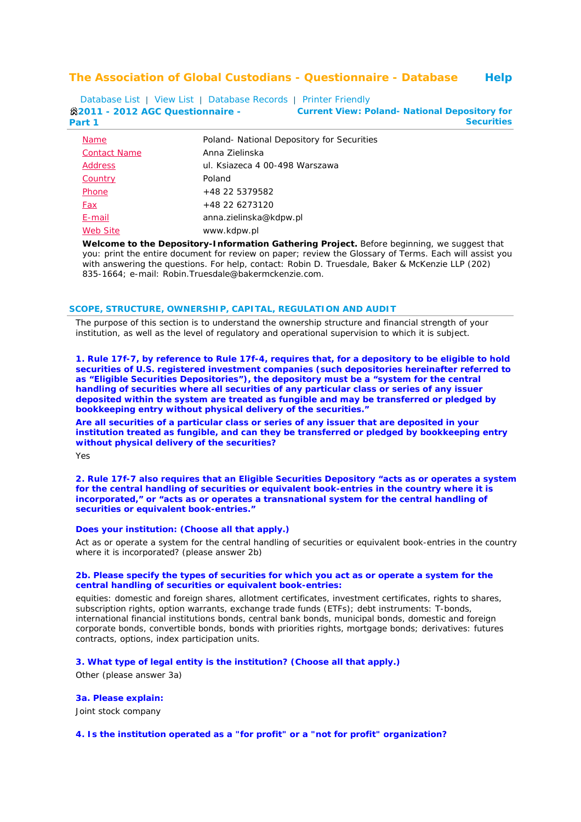# **The Association of Global Custodians - Questionnaire - Database Help**

Database List | View List | Database Records | Printer Friendly **2011 - 2012 AGC Questionnaire - Part 1 Current View: Poland- National Depository for Securities**

| <b>Name</b>         | Poland- National Depository for Securities |
|---------------------|--------------------------------------------|
| <b>Contact Name</b> | Anna Zielinska                             |
| <b>Address</b>      | ul. Ksiazeca 4 00-498 Warszawa             |
| Country             | Poland                                     |
| Phone               | +48 22 5379582                             |
| Fax                 | +48 22 6273120                             |
| E-mail              | anna.zielinska@kdpw.pl                     |
| <b>Web Site</b>     | www.kdpw.pl                                |

**Welcome to the Depository-Information Gathering Project.** Before beginning, we suggest that you: print the entire document for review on paper; review the Glossary of Terms. Each will assist you with answering the questions. For help, contact: Robin D. Truesdale, Baker & McKenzie LLP (202) 835-1664; e-mail: Robin.Truesdale@bakermckenzie.com.

#### **SCOPE, STRUCTURE, OWNERSHIP, CAPITAL, REGULATION AND AUDIT**

*The purpose of this section is to understand the ownership structure and financial strength of your institution, as well as the level of regulatory and operational supervision to which it is subject.*

**1. Rule 17f-7, by reference to Rule 17f-4, requires that, for a depository to be eligible to hold securities of U.S. registered investment companies (such depositories hereinafter referred to as "Eligible Securities Depositories"), the depository must be a "system for the central handling of securities where all securities of any particular class or series of any issuer deposited within the system are treated as fungible and may be transferred or pledged by bookkeeping entry without physical delivery of the securities."**

**Are all securities of a particular class or series of any issuer that are deposited in your institution treated as fungible, and can they be transferred or pledged by bookkeeping entry without physical delivery of the securities?**

Yes

**2. Rule 17f-7 also requires that an Eligible Securities Depository "acts as or operates a system for the central handling of securities or equivalent book-entries in the country where it is incorporated," or "acts as or operates a transnational system for the central handling of securities or equivalent book-entries."** 

# **Does your institution: (Choose all that apply.)**

Act as or operate a system for the central handling of securities or equivalent book-entries in the country where it is incorporated? (please answer 2b)

### **2b. Please specify the types of securities for which you act as or operate a system for the central handling of securities or equivalent book-entries:**

equities: domestic and foreign shares, allotment certificates, investment certificates, rights to shares, subscription rights, option warrants, exchange trade funds (ETFs); debt instruments: T-bonds, international financial institutions bonds, central bank bonds, municipal bonds, domestic and foreign corporate bonds, convertible bonds, bonds with priorities rights, mortgage bonds; derivatives: futures contracts, options, index participation units.

# **3. What type of legal entity is the institution? (Choose all that apply.)**

Other (please answer 3a)

### **3a. Please explain:**

Joint stock company

### **4. Is the institution operated as a "for profit" or a "not for profit" organization?**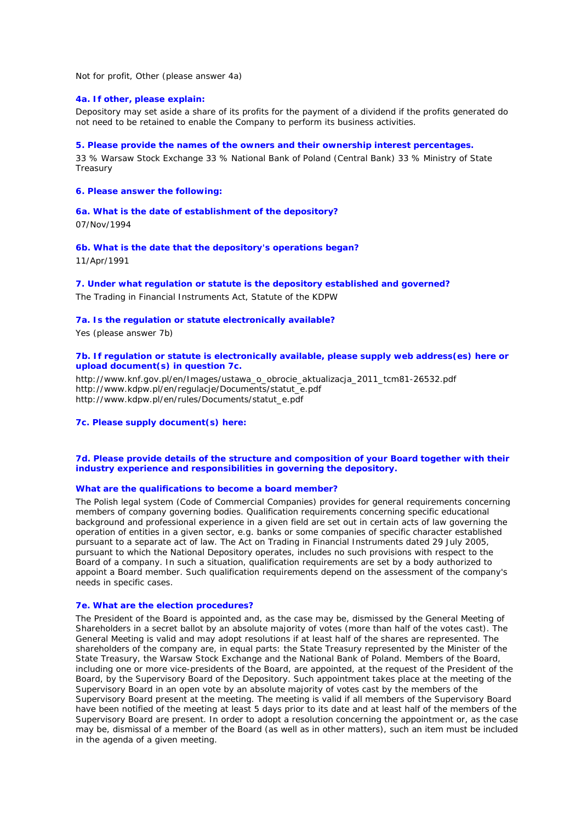Not for profit, Other (please answer 4a)

### **4a. If other, please explain:**

Depository may set aside a share of its profits for the payment of a dividend if the profits generated do not need to be retained to enable the Company to perform its business activities.

### **5. Please provide the names of the owners and their ownership interest percentages.**

33 % Warsaw Stock Exchange 33 % National Bank of Poland (Central Bank) 33 % Ministry of State **Treasury** 

# **6. Please answer the following:**

### **6a. What is the date of establishment of the depository?**

07/Nov/1994

# **6b. What is the date that the depository's operations began?**

11/Apr/1991

### **7. Under what regulation or statute is the depository established and governed?**

The Trading in Financial Instruments Act, Statute of the KDPW

# **7a. Is the regulation or statute electronically available?**

Yes (please answer 7b)

# **7b. If regulation or statute is electronically available, please supply web address(es) here or upload document(s) in question 7c.**

http://www.knf.gov.pl/en/Images/ustawa\_o\_obrocie\_aktualizacja\_2011\_tcm81-26532.pdf http://www.kdpw.pl/en/regulacje/Documents/statut\_e.pdf http://www.kdpw.pl/en/rules/Documents/statut\_e.pdf

# **7c. Please supply document(s) here:**

### **7d. Please provide details of the structure and composition of your Board together with their industry experience and responsibilities in governing the depository.**

# **What are the qualifications to become a board member?**

The Polish legal system (Code of Commercial Companies) provides for general requirements concerning members of company governing bodies. Qualification requirements concerning specific educational background and professional experience in a given field are set out in certain acts of law governing the operation of entities in a given sector, e.g. banks or some companies of specific character established pursuant to a separate act of law. The Act on Trading in Financial Instruments dated 29 July 2005, pursuant to which the National Depository operates, includes no such provisions with respect to the Board of a company. In such a situation, qualification requirements are set by a body authorized to appoint a Board member. Such qualification requirements depend on the assessment of the company's needs in specific cases.

### **7e. What are the election procedures?**

The President of the Board is appointed and, as the case may be, dismissed by the General Meeting of Shareholders in a secret ballot by an absolute majority of votes (more than half of the votes cast). The General Meeting is valid and may adopt resolutions if at least half of the shares are represented. The shareholders of the company are, in equal parts: the State Treasury represented by the Minister of the State Treasury, the Warsaw Stock Exchange and the National Bank of Poland. Members of the Board, including one or more vice-presidents of the Board, are appointed, at the request of the President of the Board, by the Supervisory Board of the Depository. Such appointment takes place at the meeting of the Supervisory Board in an open vote by an absolute majority of votes cast by the members of the Supervisory Board present at the meeting. The meeting is valid if all members of the Supervisory Board have been notified of the meeting at least 5 days prior to its date and at least half of the members of the Supervisory Board are present. In order to adopt a resolution concerning the appointment or, as the case may be, dismissal of a member of the Board (as well as in other matters), such an item must be included in the agenda of a given meeting.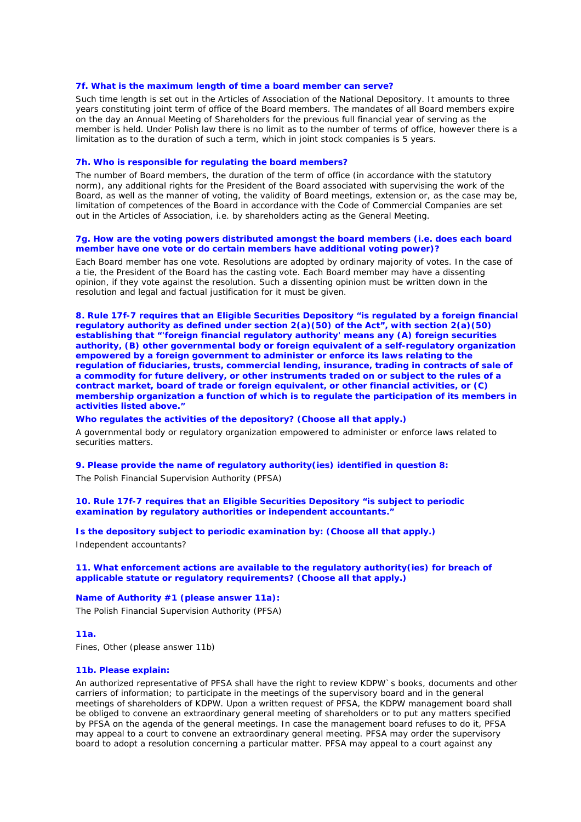#### **7f. What is the maximum length of time a board member can serve?**

Such time length is set out in the Articles of Association of the National Depository. It amounts to three years constituting joint term of office of the Board members. The mandates of all Board members expire on the day an Annual Meeting of Shareholders for the previous full financial year of serving as the member is held. Under Polish law there is no limit as to the number of terms of office, however there is a limitation as to the duration of such a term, which in joint stock companies is 5 years.

### **7h. Who is responsible for regulating the board members?**

The number of Board members, the duration of the term of office (in accordance with the statutory norm), any additional rights for the President of the Board associated with supervising the work of the Board, as well as the manner of voting, the validity of Board meetings, extension or, as the case may be, limitation of competences of the Board in accordance with the Code of Commercial Companies are set out in the Articles of Association, i.e. by shareholders acting as the General Meeting.

### **7g. How are the voting powers distributed amongst the board members (i.e. does each board member have one vote or do certain members have additional voting power)?**

Each Board member has one vote. Resolutions are adopted by ordinary majority of votes. In the case of a tie, the President of the Board has the casting vote. Each Board member may have a dissenting opinion, if they vote against the resolution. Such a dissenting opinion must be written down in the resolution and legal and factual justification for it must be given.

**8. Rule 17f-7 requires that an Eligible Securities Depository "is regulated by a foreign financial regulatory authority as defined under section 2(a)(50) of the Act", with section 2(a)(50) establishing that "'foreign financial regulatory authority' means any (A) foreign securities authority, (B) other governmental body or foreign equivalent of a self-regulatory organization empowered by a foreign government to administer or enforce its laws relating to the regulation of fiduciaries, trusts, commercial lending, insurance, trading in contracts of sale of a commodity for future delivery, or other instruments traded on or subject to the rules of a contract market, board of trade or foreign equivalent, or other financial activities, or (C) membership organization a function of which is to regulate the participation of its members in activities listed above."**

### **Who regulates the activities of the depository? (Choose all that apply.)**

A governmental body or regulatory organization empowered to administer or enforce laws related to securities matters.

**9. Please provide the name of regulatory authority(ies) identified in question 8:** The Polish Financial Supervision Authority (PFSA)

**10. Rule 17f-7 requires that an Eligible Securities Depository "is subject to periodic examination by regulatory authorities or independent accountants."** 

**Is the depository subject to periodic examination by: (Choose all that apply.)** Independent accountants?

# **11. What enforcement actions are available to the regulatory authority(ies) for breach of applicable statute or regulatory requirements? (Choose all that apply.)**

### **Name of Authority #1 (please answer 11a):**

The Polish Financial Supervision Authority (PFSA)

### **11a.**

Fines, Other (please answer 11b)

#### **11b. Please explain:**

An authorized representative of PFSA shall have the right to review KDPW`s books, documents and other carriers of information; to participate in the meetings of the supervisory board and in the general meetings of shareholders of KDPW. Upon a written request of PFSA, the KDPW management board shall be obliged to convene an extraordinary general meeting of shareholders or to put any matters specified by PFSA on the agenda of the general meetings. In case the management board refuses to do it, PFSA may appeal to a court to convene an extraordinary general meeting. PFSA may order the supervisory board to adopt a resolution concerning a particular matter. PFSA may appeal to a court against any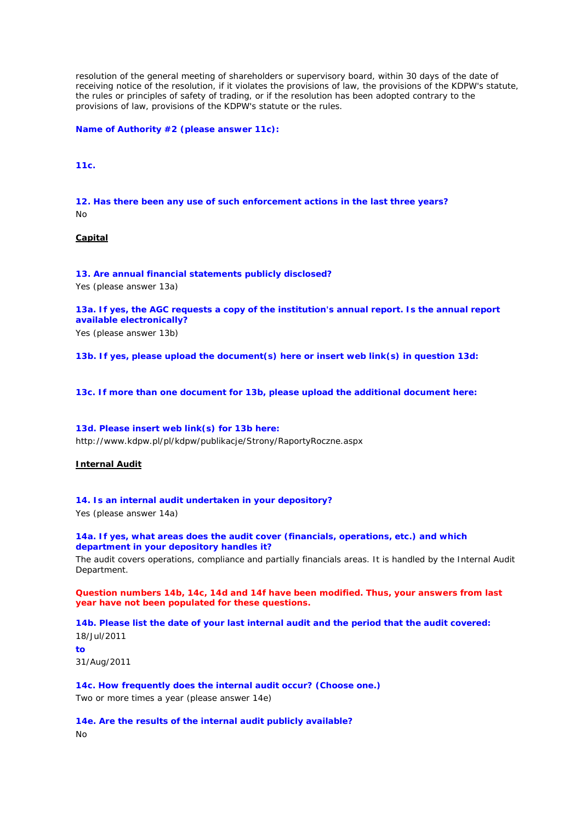resolution of the general meeting of shareholders or supervisory board, within 30 days of the date of receiving notice of the resolution, if it violates the provisions of law, the provisions of the KDPW's statute, the rules or principles of safety of trading, or if the resolution has been adopted contrary to the provisions of law, provisions of the KDPW's statute or the rules.

**Name of Authority #2 (please answer 11c):**

# **11c.**

**12. Has there been any use of such enforcement actions in the last three years?** No

# **Capital**

**13. Are annual financial statements publicly disclosed?**

Yes (please answer 13a)

**13a. If yes, the AGC requests a copy of the institution's annual report. Is the annual report available electronically?**

Yes (please answer 13b)

**13b. If yes, please upload the document(s) here or insert web link(s) in question 13d:**

**13c. If more than one document for 13b, please upload the additional document here:**

# **13d. Please insert web link(s) for 13b here:**

http://www.kdpw.pl/pl/kdpw/publikacje/Strony/RaportyRoczne.aspx

# **Internal Audit**

# **14. Is an internal audit undertaken in your depository?**

Yes (please answer 14a)

# **14a. If yes, what areas does the audit cover (financials, operations, etc.) and which department in your depository handles it?**

The audit covers operations, compliance and partially financials areas. It is handled by the Internal Audit Department.

# *Question numbers 14b, 14c, 14d and 14f have been modified. Thus, your answers from last year have not been populated for these questions.*

**14b. Please list the date of your last internal audit and the period that the audit covered:** 18/Jul/2011

**to**

31/Aug/2011

**14c. How frequently does the internal audit occur? (Choose one.)** Two or more times a year (please answer 14e)

**14e. Are the results of the internal audit publicly available?** No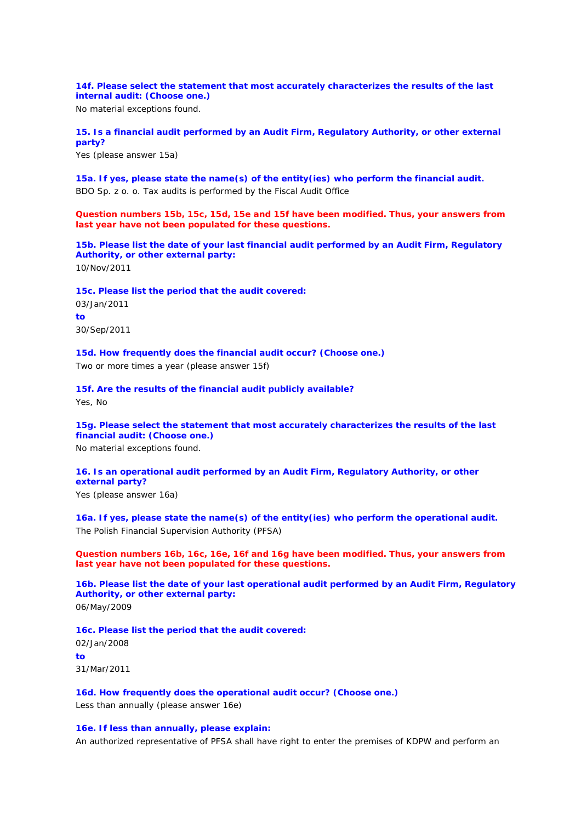**14f. Please select the statement that most accurately characterizes the results of the last internal audit: (Choose one.)**

No material exceptions found.

**15. Is a financial audit performed by an Audit Firm, Regulatory Authority, or other external party?**

Yes (please answer 15a)

**15a. If yes, please state the name(s) of the entity(ies) who perform the financial audit.** BDO Sp. z o. o. Tax audits is performed by the Fiscal Audit Office

*Question numbers 15b, 15c, 15d, 15e and 15f have been modified. Thus, your answers from last year have not been populated for these questions.*

**15b. Please list the date of your last financial audit performed by an Audit Firm, Regulatory Authority, or other external party:** 10/Nov/2011

**15c. Please list the period that the audit covered:**

03/Jan/2011 **to** 30/Sep/2011

**15d. How frequently does the financial audit occur? (Choose one.)** Two or more times a year (please answer 15f)

**15f. Are the results of the financial audit publicly available?**

Yes, No

**15g. Please select the statement that most accurately characterizes the results of the last financial audit: (Choose one.)**

No material exceptions found.

# **16. Is an operational audit performed by an Audit Firm, Regulatory Authority, or other external party?**

Yes (please answer 16a)

**16a. If yes, please state the name(s) of the entity(ies) who perform the operational audit.** The Polish Financial Supervision Authority (PFSA)

*Question numbers 16b, 16c, 16e, 16f and 16g have been modified. Thus, your answers from last year have not been populated for these questions.*

**16b. Please list the date of your last operational audit performed by an Audit Firm, Regulatory Authority, or other external party:** 06/May/2009

**16c. Please list the period that the audit covered:** 02/Jan/2008 **to** 31/Mar/2011

**16d. How frequently does the operational audit occur? (Choose one.)**

Less than annually (please answer 16e)

# **16e. If less than annually, please explain:**

An authorized representative of PFSA shall have right to enter the premises of KDPW and perform an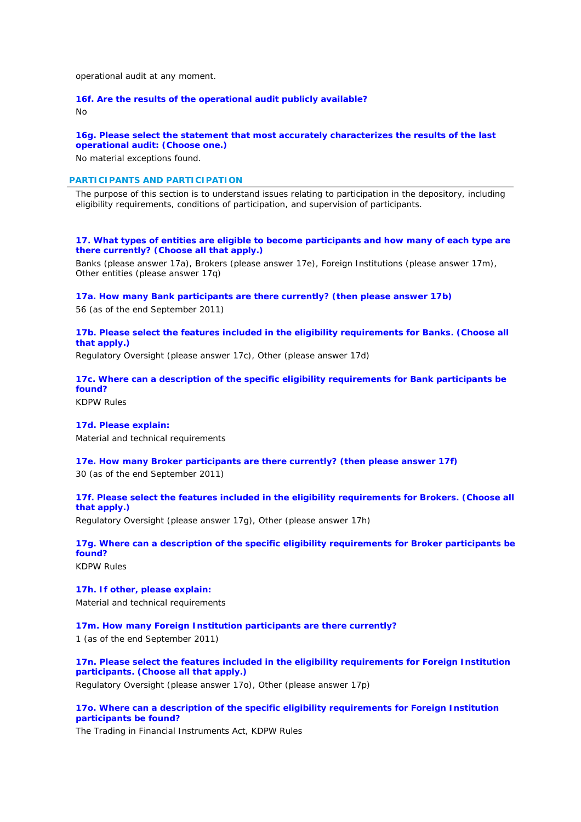operational audit at any moment.

# **16f. Are the results of the operational audit publicly available?**

No

# **16g. Please select the statement that most accurately characterizes the results of the last operational audit: (Choose one.)**

No material exceptions found.

# **PARTICIPANTS AND PARTICIPATION**

*The purpose of this section is to understand issues relating to participation in the depository, including eligibility requirements, conditions of participation, and supervision of participants.*

**17. What types of entities are eligible to become participants and how many of each type are there currently? (Choose all that apply.)**

Banks (please answer 17a), Brokers (please answer 17e), Foreign Institutions (please answer 17m), Other entities (please answer 17q)

**17a. How many Bank participants are there currently? (then please answer 17b)** 56 (as of the end September 2011)

# **17b. Please select the features included in the eligibility requirements for Banks. (Choose all that apply.)**

Regulatory Oversight (please answer 17c), Other (please answer 17d)

**17c. Where can a description of the specific eligibility requirements for Bank participants be found?**

KDPW Rules

# **17d. Please explain:**

Material and technical requirements

**17e. How many Broker participants are there currently? (then please answer 17f)**

30 (as of the end September 2011)

**17f. Please select the features included in the eligibility requirements for Brokers. (Choose all that apply.)**

Regulatory Oversight (please answer 17g), Other (please answer 17h)

**17g. Where can a description of the specific eligibility requirements for Broker participants be found?**

KDPW Rules

# **17h. If other, please explain:** Material and technical requirements

**17m. How many Foreign Institution participants are there currently?**

1 (as of the end September 2011)

# **17n. Please select the features included in the eligibility requirements for Foreign Institution participants. (Choose all that apply.)**

Regulatory Oversight (please answer 17o), Other (please answer 17p)

# **17o. Where can a description of the specific eligibility requirements for Foreign Institution participants be found?**

The Trading in Financial Instruments Act, KDPW Rules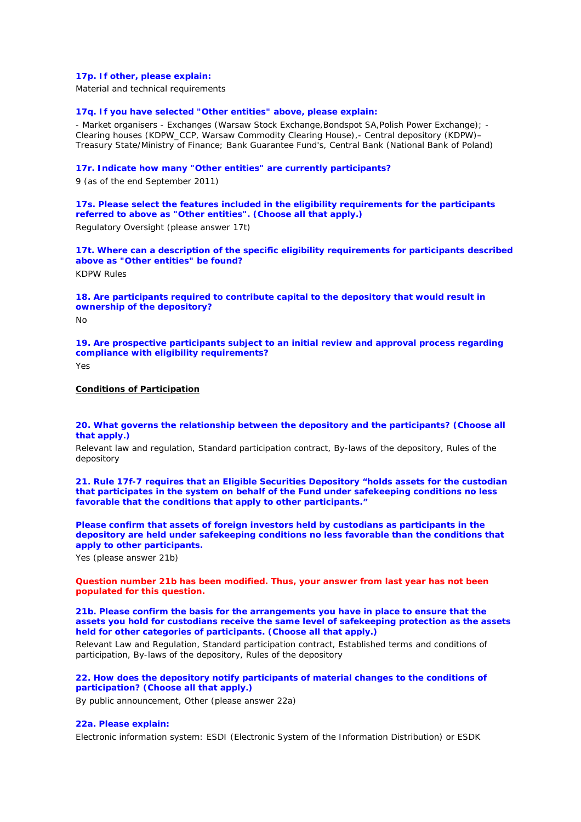# **17p. If other, please explain:**

Material and technical requirements

### **17q. If you have selected "Other entities" above, please explain:**

- Market organisers - Exchanges (Warsaw Stock Exchange,Bondspot SA,Polish Power Exchange); - Clearing houses (KDPW\_CCP, Warsaw Commodity Clearing House),- Central depository (KDPW)– Treasury State/Ministry of Finance; Bank Guarantee Fund's, Central Bank (National Bank of Poland)

### **17r. Indicate how many "Other entities" are currently participants?**

9 (as of the end September 2011)

# **17s. Please select the features included in the eligibility requirements for the participants referred to above as "Other entities". (Choose all that apply.)**

Regulatory Oversight (please answer 17t)

**17t. Where can a description of the specific eligibility requirements for participants described above as "Other entities" be found?**

KDPW Rules

**18. Are participants required to contribute capital to the depository that would result in ownership of the depository?**

No

**19. Are prospective participants subject to an initial review and approval process regarding compliance with eligibility requirements?**

 $V_{\text{QC}}$ 

# **Conditions of Participation**

**20. What governs the relationship between the depository and the participants? (Choose all that apply.)**

Relevant law and regulation, Standard participation contract, By-laws of the depository, Rules of the depository

**21. Rule 17f-7 requires that an Eligible Securities Depository "holds assets for the custodian that participates in the system on behalf of the Fund under safekeeping conditions no less favorable that the conditions that apply to other participants."**

**Please confirm that assets of foreign investors held by custodians as participants in the depository are held under safekeeping conditions no less favorable than the conditions that apply to other participants.**

Yes (please answer 21b)

*Question number 21b has been modified. Thus, your answer from last year has not been populated for this question.*

**21b. Please confirm the basis for the arrangements you have in place to ensure that the assets you hold for custodians receive the same level of safekeeping protection as the assets held for other categories of participants. (Choose all that apply.)**

Relevant Law and Regulation, Standard participation contract, Established terms and conditions of participation, By-laws of the depository, Rules of the depository

# **22. How does the depository notify participants of material changes to the conditions of participation? (Choose all that apply.)**

By public announcement, Other (please answer 22a)

# **22a. Please explain:**

Electronic information system: ESDI (Electronic System of the Information Distribution) or ESDK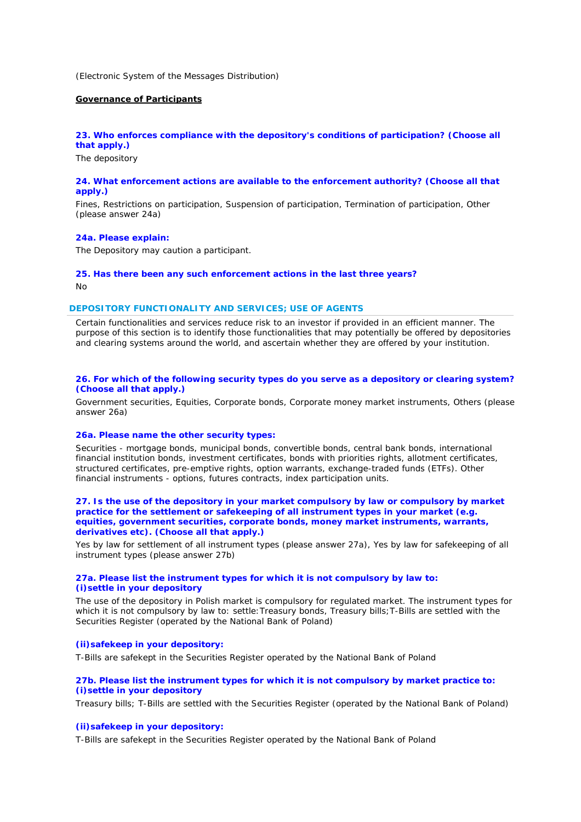(Electronic System of the Messages Distribution)

# **Governance of Participants**

# **23. Who enforces compliance with the depository's conditions of participation? (Choose all that apply.)**

The depository

# **24. What enforcement actions are available to the enforcement authority? (Choose all that apply.)**

Fines, Restrictions on participation, Suspension of participation, Termination of participation, Other (please answer 24a)

#### **24a. Please explain:**

The Depository may caution a participant.

# **25. Has there been any such enforcement actions in the last three years?**

No

#### **DEPOSITORY FUNCTIONALITY AND SERVICES; USE OF AGENTS**

*Certain functionalities and services reduce risk to an investor if provided in an efficient manner. The purpose of this section is to identify those functionalities that may potentially be offered by depositories and clearing systems around the world, and ascertain whether they are offered by your institution.*

# **26. For which of the following security types do you serve as a depository or clearing system? (Choose all that apply.)**

Government securities, Equities, Corporate bonds, Corporate money market instruments, Others (please answer 26a)

# **26a. Please name the other security types:**

Securities - mortgage bonds, municipal bonds, convertible bonds, central bank bonds, international financial institution bonds, investment certificates, bonds with priorities rights, allotment certificates, structured certificates, pre-emptive rights, option warrants, exchange-traded funds (ETFs). Other financial instruments - options, futures contracts, index participation units.

# **27. Is the use of the depository in your market compulsory by law or compulsory by market practice for the settlement or safekeeping of all instrument types in your market (e.g. equities, government securities, corporate bonds, money market instruments, warrants, derivatives etc). (Choose all that apply.)**

Yes by law for settlement of all instrument types (please answer 27a), Yes by law for safekeeping of all instrument types (please answer 27b)

# **27a. Please list the instrument types for which it is not compulsory by law to: (i)settle in your depository**

The use of the depository in Polish market is compulsory for regulated market. The instrument types for which it is not compulsory by law to: settle:Treasury bonds, Treasury bills;T-Bills are settled with the Securities Register (operated by the National Bank of Poland)

# **(ii)safekeep in your depository:**

T-Bills are safekept in the Securities Register operated by the National Bank of Poland

# **27b. Please list the instrument types for which it is not compulsory by market practice to: (i)settle in your depository**

Treasury bills; T-Bills are settled with the Securities Register (operated by the National Bank of Poland)

# **(ii)safekeep in your depository:**

T-Bills are safekept in the Securities Register operated by the National Bank of Poland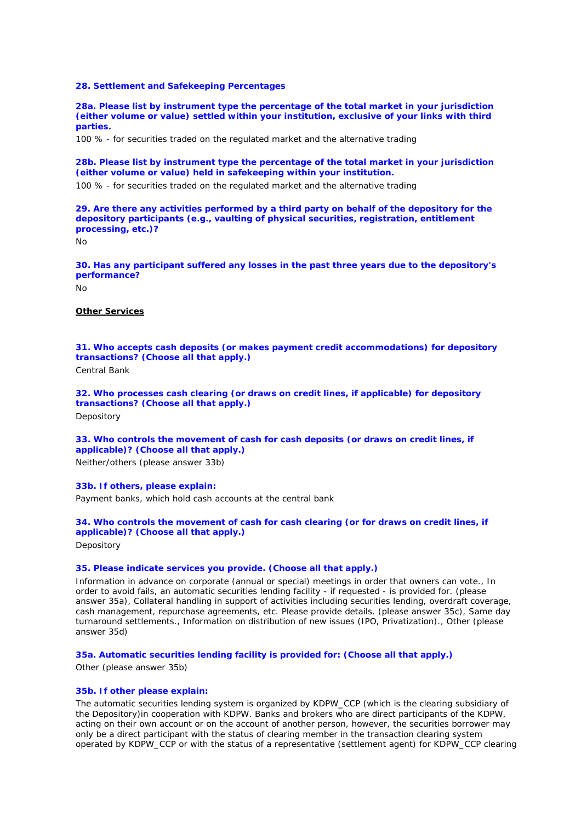### **28. Settlement and Safekeeping Percentages**

**28a. Please list by instrument type the percentage of the total market in your jurisdiction (either volume or value) settled within your institution, exclusive of your links with third parties.**

100 % - for securities traded on the regulated market and the alternative trading

**28b. Please list by instrument type the percentage of the total market in your jurisdiction (either volume or value) held in safekeeping within your institution.**

100 % - for securities traded on the regulated market and the alternative trading

**29. Are there any activities performed by a third party on behalf of the depository for the depository participants (e.g., vaulting of physical securities, registration, entitlement processing, etc.)?**

No

**30. Has any participant suffered any losses in the past three years due to the depository's performance?**

 $N<sub>0</sub>$ 

# **Other Services**

**31. Who accepts cash deposits (or makes payment credit accommodations) for depository transactions? (Choose all that apply.)**

Central Bank

**32. Who processes cash clearing (or draws on credit lines, if applicable) for depository transactions? (Choose all that apply.)**

Depository

# **33. Who controls the movement of cash for cash deposits (or draws on credit lines, if applicable)? (Choose all that apply.)**

Neither/others (please answer 33b)

# **33b. If others, please explain:**

Payment banks, which hold cash accounts at the central bank

# **34. Who controls the movement of cash for cash clearing (or for draws on credit lines, if applicable)? (Choose all that apply.)**

**Depository** 

# **35. Please indicate services you provide. (Choose all that apply.)**

Information in advance on corporate (annual or special) meetings in order that owners can vote., In order to avoid fails, an automatic securities lending facility - if requested - is provided for. (please answer 35a), Collateral handling in support of activities including securities lending, overdraft coverage, cash management, repurchase agreements, etc. Please provide details. (please answer 35c), Same day turnaround settlements., Information on distribution of new issues (IPO, Privatization)., Other (please answer 35d)

### **35a. Automatic securities lending facility is provided for: (Choose all that apply.)**

Other (please answer 35b)

# **35b. If other please explain:**

The automatic securities lending system is organized by KDPW\_CCP (which is the clearing subsidiary of the Depository)in cooperation with KDPW. Banks and brokers who are direct participants of the KDPW, acting on their own account or on the account of another person, however, the securities borrower may only be a direct participant with the status of clearing member in the transaction clearing system operated by KDPW\_CCP or with the status of a representative (settlement agent) for KDPW\_CCP clearing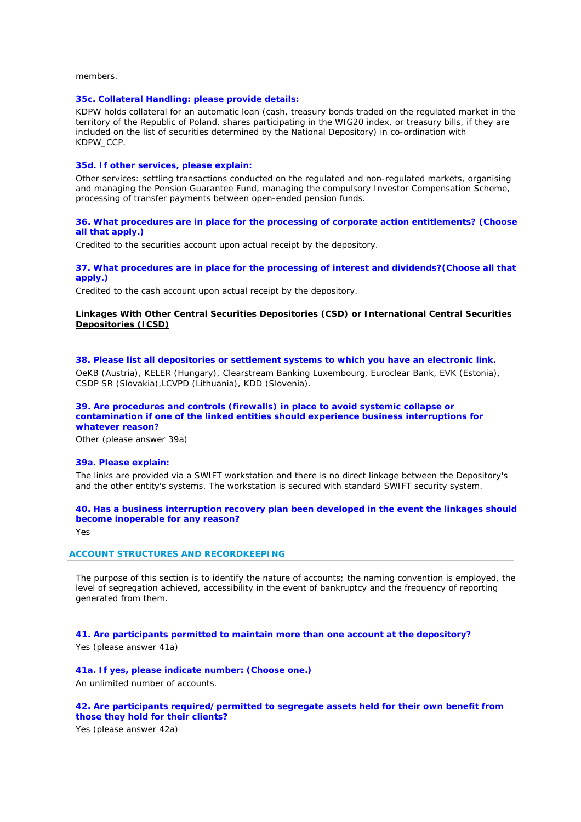members.

### **35c. Collateral Handling: please provide details:**

KDPW holds collateral for an automatic loan (cash, treasury bonds traded on the regulated market in the territory of the Republic of Poland, shares participating in the WIG20 index, or treasury bills, if they are included on the list of securities determined by the National Depository) in co-ordination with KDPW\_CCP.

# **35d. If other services, please explain:**

Other services: settling transactions conducted on the regulated and non-regulated markets, organising and managing the Pension Guarantee Fund, managing the compulsory Investor Compensation Scheme, processing of transfer payments between open-ended pension funds.

### **36. What procedures are in place for the processing of corporate action entitlements? (Choose all that apply.)**

Credited to the securities account upon actual receipt by the depository.

# **37. What procedures are in place for the processing of interest and dividends?(Choose all that apply.)**

Credited to the cash account upon actual receipt by the depository.

# **Linkages With Other Central Securities Depositories (CSD) or International Central Securities Depositories (ICSD)**

### **38. Please list all depositories or settlement systems to which you have an electronic link.**

OeKB (Austria), KELER (Hungary), Clearstream Banking Luxembourg, Euroclear Bank, EVK (Estonia), CSDP SR (Slovakia),LCVPD (Lithuania), KDD (Slovenia).

### **39. Are procedures and controls (firewalls) in place to avoid systemic collapse or contamination if one of the linked entities should experience business interruptions for whatever reason?**

Other (please answer 39a)

#### **39a. Please explain:**

The links are provided via a SWIFT workstation and there is no direct linkage between the Depository's and the other entity's systems. The workstation is secured with standard SWIFT security system.

# **40. Has a business interruption recovery plan been developed in the event the linkages should become inoperable for any reason?**

Yes

# **ACCOUNT STRUCTURES AND RECORDKEEPING**

*The purpose of this section is to identify the nature of accounts; the naming convention is employed, the level of segregation achieved, accessibility in the event of bankruptcy and the frequency of reporting generated from them.*

**41. Are participants permitted to maintain more than one account at the depository?** Yes (please answer 41a)

# **41a. If yes, please indicate number: (Choose one.)**

An unlimited number of accounts.

**42. Are participants required/permitted to segregate assets held for their own benefit from those they hold for their clients?**

Yes (please answer 42a)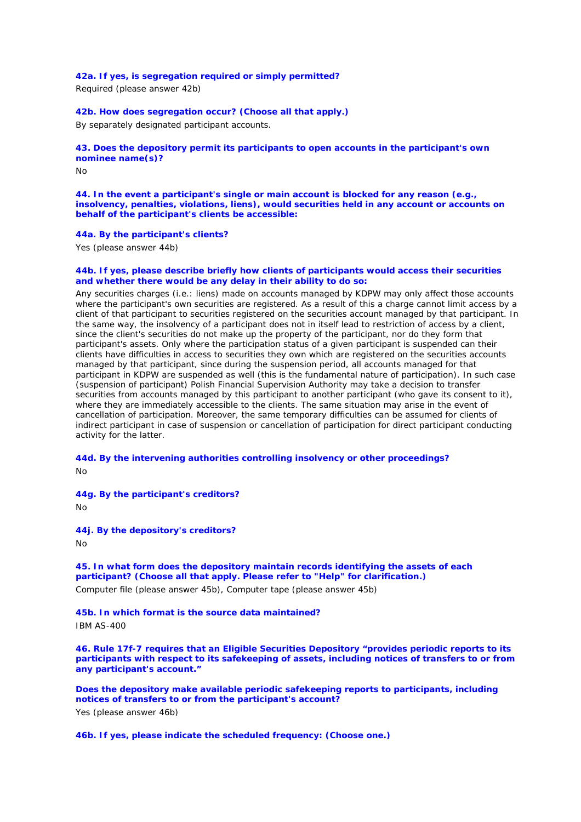# **42a. If yes, is segregation required or simply permitted?**

Required (please answer 42b)

# **42b. How does segregation occur? (Choose all that apply.)**

By separately designated participant accounts.

# **43. Does the depository permit its participants to open accounts in the participant's own nominee name(s)?**

 $N<sub>0</sub>$ 

**44. In the event a participant's single or main account is blocked for any reason (e.g., insolvency, penalties, violations, liens), would securities held in any account or accounts on behalf of the participant's clients be accessible:** 

#### **44a. By the participant's clients?**

Yes (please answer 44b)

# **44b. If yes, please describe briefly how clients of participants would access their securities and whether there would be any delay in their ability to do so:**

Any securities charges (i.e.: liens) made on accounts managed by KDPW may only affect those accounts where the participant's own securities are registered. As a result of this a charge cannot limit access by a client of that participant to securities registered on the securities account managed by that participant. In the same way, the insolvency of a participant does not in itself lead to restriction of access by a client, since the client's securities do not make up the property of the participant, nor do they form that participant's assets. Only where the participation status of a given participant is suspended can their clients have difficulties in access to securities they own which are registered on the securities accounts managed by that participant, since during the suspension period, all accounts managed for that participant in KDPW are suspended as well (this is the fundamental nature of participation). In such case (suspension of participant) Polish Financial Supervision Authority may take a decision to transfer securities from accounts managed by this participant to another participant (who gave its consent to it), where they are immediately accessible to the clients. The same situation may arise in the event of cancellation of participation. Moreover, the same temporary difficulties can be assumed for clients of indirect participant in case of suspension or cancellation of participation for direct participant conducting activity for the latter.

# **44d. By the intervening authorities controlling insolvency or other proceedings?**

No

**44g. By the participant's creditors?**

No

#### **44j. By the depository's creditors?**

 $N<sub>0</sub>$ 

**45. In what form does the depository maintain records identifying the assets of each participant? (Choose all that apply. Please refer to "Help" for clarification.)** Computer file (please answer 45b), Computer tape (please answer 45b)

#### **45b. In which format is the source data maintained?**

IBM AS-400

**46. Rule 17f-7 requires that an Eligible Securities Depository "provides periodic reports to its participants with respect to its safekeeping of assets, including notices of transfers to or from any participant's account."** 

**Does the depository make available periodic safekeeping reports to participants, including notices of transfers to or from the participant's account?** Yes (please answer 46b)

**46b. If yes, please indicate the scheduled frequency: (Choose one.)**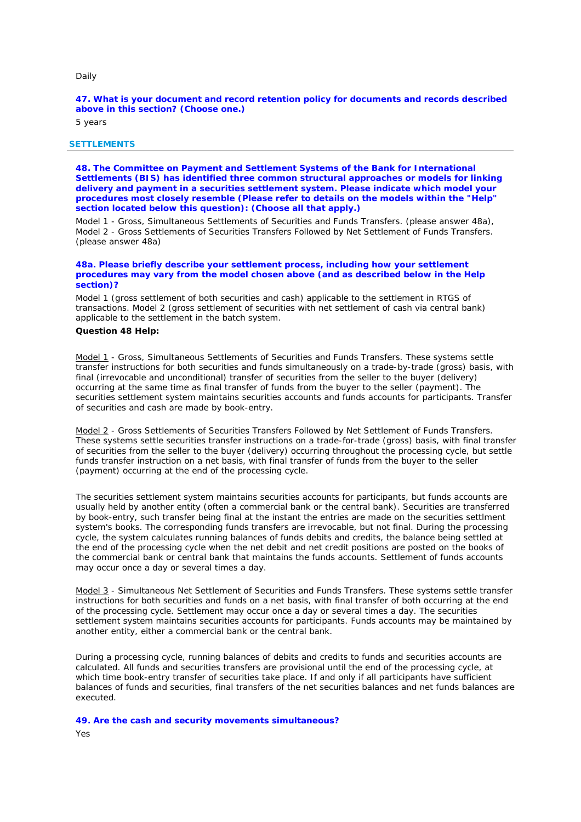#### Daily

**47. What is your document and record retention policy for documents and records described above in this section? (Choose one.)**

5 years

### **SETTLEMENTS**

**48. The Committee on Payment and Settlement Systems of the Bank for International Settlements (BIS) has identified three common structural approaches or models for linking delivery and payment in a securities settlement system. Please indicate which model your procedures most closely resemble (Please refer to details on the models within the "Help" section located below this question): (Choose all that apply.)**

Model 1 - Gross, Simultaneous Settlements of Securities and Funds Transfers. (please answer 48a), Model 2 - Gross Settlements of Securities Transfers Followed by Net Settlement of Funds Transfers. (please answer 48a)

### **48a. Please briefly describe your settlement process, including how your settlement procedures may vary from the model chosen above (and as described below in the Help section)?**

Model 1 (gross settlement of both securities and cash) applicable to the settlement in RTGS of transactions. Model 2 (gross settlement of securities with net settlement of cash via central bank) applicable to the settlement in the batch system.

### *Question 48 Help:*

*Model 1 - Gross, Simultaneous Settlements of Securities and Funds Transfers. These systems settle transfer instructions for both securities and funds simultaneously on a trade-by-trade (gross) basis, with final (irrevocable and unconditional) transfer of securities from the seller to the buyer (delivery) occurring at the same time as final transfer of funds from the buyer to the seller (payment). The securities settlement system maintains securities accounts and funds accounts for participants. Transfer of securities and cash are made by book-entry.*

*Model 2 - Gross Settlements of Securities Transfers Followed by Net Settlement of Funds Transfers. These systems settle securities transfer instructions on a trade-for-trade (gross) basis, with final transfer of securities from the seller to the buyer (delivery) occurring throughout the processing cycle, but settle funds transfer instruction on a net basis, with final transfer of funds from the buyer to the seller (payment) occurring at the end of the processing cycle.*

*The securities settlement system maintains securities accounts for participants, but funds accounts are usually held by another entity (often a commercial bank or the central bank). Securities are transferred by book-entry, such transfer being final at the instant the entries are made on the securities settlment system's books. The corresponding funds transfers are irrevocable, but not final. During the processing cycle, the system calculates running balances of funds debits and credits, the balance being settled at the end of the processing cycle when the net debit and net credit positions are posted on the books of the commercial bank or central bank that maintains the funds accounts. Settlement of funds accounts may occur once a day or several times a day.*

*Model 3 - Simultaneous Net Settlement of Securities and Funds Transfers. These systems settle transfer instructions for both securities and funds on a net basis, with final transfer of both occurring at the end of the processing cycle. Settlement may occur once a day or several times a day. The securities settlement system maintains securities accounts for participants. Funds accounts may be maintained by another entity, either a commercial bank or the central bank.*

*During a processing cycle, running balances of debits and credits to funds and securities accounts are calculated. All funds and securities transfers are provisional until the end of the processing cycle, at*  which time book-entry transfer of securities take place. If and only if all participants have sufficient *balances of funds and securities, final transfers of the net securities balances and net funds balances are executed.*

**49. Are the cash and security movements simultaneous?** Yes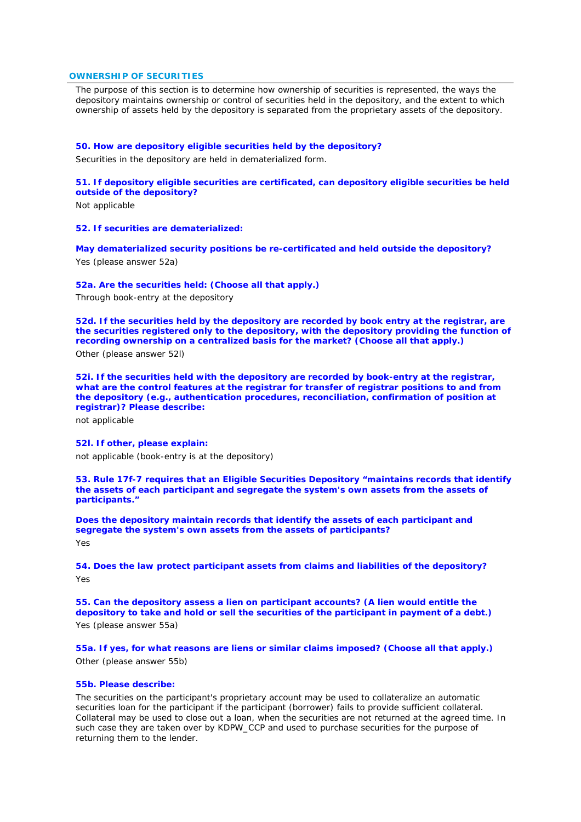### **OWNERSHIP OF SECURITIES**

*The purpose of this section is to determine how ownership of securities is represented, the ways the depository maintains ownership or control of securities held in the depository, and the extent to which ownership of assets held by the depository is separated from the proprietary assets of the depository.*

### **50. How are depository eligible securities held by the depository?**

Securities in the depository are held in dematerialized form.

# **51. If depository eligible securities are certificated, can depository eligible securities be held outside of the depository?**

Not applicable

#### **52. If securities are dematerialized:**

**May dematerialized security positions be re-certificated and held outside the depository?** Yes (please answer 52a)

### **52a. Are the securities held: (Choose all that apply.)**

Through book-entry at the depository

**52d. If the securities held by the depository are recorded by book entry at the registrar, are the securities registered only to the depository, with the depository providing the function of recording ownership on a centralized basis for the market? (Choose all that apply.)** Other (please answer 52l)

**52i. If the securities held with the depository are recorded by book-entry at the registrar, what are the control features at the registrar for transfer of registrar positions to and from the depository (e.g., authentication procedures, reconciliation, confirmation of position at registrar)? Please describe:**

not applicable

# **52l. If other, please explain:**

not applicable (book-entry is at the depository)

**53. Rule 17f-7 requires that an Eligible Securities Depository "maintains records that identify the assets of each participant and segregate the system's own assets from the assets of participants."** 

**Does the depository maintain records that identify the assets of each participant and segregate the system's own assets from the assets of participants?** Yes

**54. Does the law protect participant assets from claims and liabilities of the depository?** Yes

**55. Can the depository assess a lien on participant accounts? (A lien would entitle the depository to take and hold or sell the securities of the participant in payment of a debt.)** Yes (please answer 55a)

**55a. If yes, for what reasons are liens or similar claims imposed? (Choose all that apply.)** Other (please answer 55b)

# **55b. Please describe:**

The securities on the participant's proprietary account may be used to collateralize an automatic securities loan for the participant if the participant (borrower) fails to provide sufficient collateral. Collateral may be used to close out a loan, when the securities are not returned at the agreed time. In such case they are taken over by KDPW\_CCP and used to purchase securities for the purpose of returning them to the lender.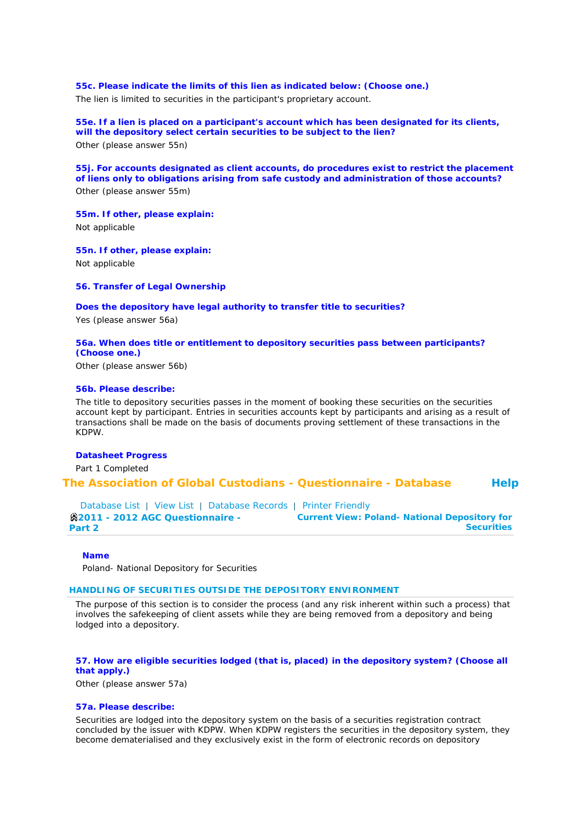**55c. Please indicate the limits of this lien as indicated below: (Choose one.)** The lien is limited to securities in the participant's proprietary account.

**55e. If a lien is placed on a participant's account which has been designated for its clients, will the depository select certain securities to be subject to the lien?** Other (please answer 55n)

**55j. For accounts designated as client accounts, do procedures exist to restrict the placement of liens only to obligations arising from safe custody and administration of those accounts?** Other (please answer 55m)

**55m. If other, please explain:**

Not applicable

**55n. If other, please explain:** Not applicable

**56. Transfer of Legal Ownership** 

**Does the depository have legal authority to transfer title to securities?**

Yes (please answer 56a)

# **56a. When does title or entitlement to depository securities pass between participants? (Choose one.)**

Other (please answer 56b)

# **56b. Please describe:**

The title to depository securities passes in the moment of booking these securities on the securities account kept by participant. Entries in securities accounts kept by participants and arising as a result of transactions shall be made on the basis of documents proving settlement of these transactions in the KDPW.

# **Datasheet Progress**

Part 1 Completed

**The Association of Global Custodians - Questionnaire - Database Help**

Database List | View List | Database Records | Printer Friendly **2011 - 2012 AGC Questionnaire - Part 2 Current View: Poland- National Depository for Securities**

### **Name**

Poland- National Depository for Securities

### **HANDLING OF SECURITIES OUTSIDE THE DEPOSITORY ENVIRONMENT**

*The purpose of this section is to consider the process (and any risk inherent within such a process) that*  involves the safekeeping of client assets while they are being removed from a depository and being *lodged into a depository.*

# **57. How are eligible securities lodged (that is, placed) in the depository system? (Choose all that apply.)**

Other (please answer 57a)

### **57a. Please describe:**

Securities are lodged into the depository system on the basis of a securities registration contract concluded by the issuer with KDPW. When KDPW registers the securities in the depository system, they become dematerialised and they exclusively exist in the form of electronic records on depository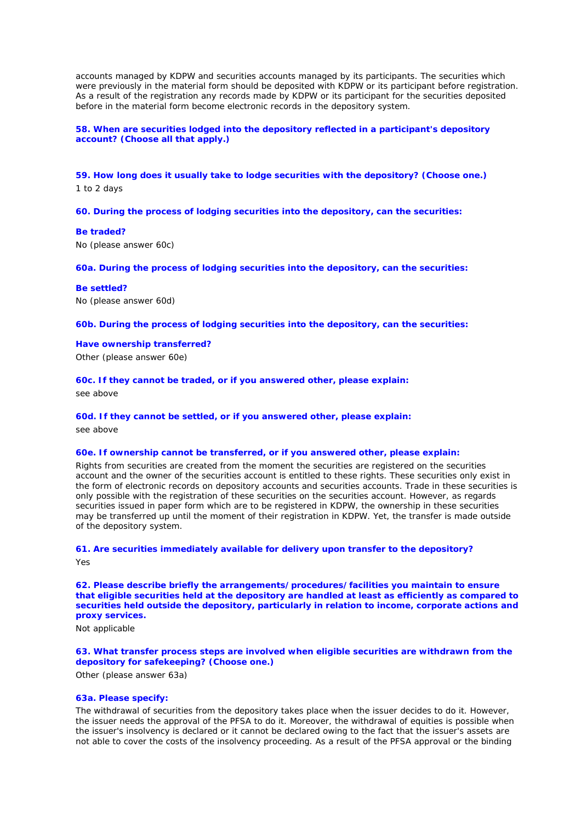accounts managed by KDPW and securities accounts managed by its participants. The securities which were previously in the material form should be deposited with KDPW or its participant before registration. As a result of the registration any records made by KDPW or its participant for the securities deposited before in the material form become electronic records in the depository system.

# **58. When are securities lodged into the depository reflected in a participant's depository account? (Choose all that apply.)**

**59. How long does it usually take to lodge securities with the depository? (Choose one.)** 1 to 2 days

**60. During the process of lodging securities into the depository, can the securities:** 

### **Be traded?**

No (please answer 60c)

**60a. During the process of lodging securities into the depository, can the securities:** 

**Be settled?** No (please answer 60d)

**60b. During the process of lodging securities into the depository, can the securities:** 

**Have ownership transferred?** Other (please answer 60e)

**60c. If they cannot be traded, or if you answered other, please explain:**

see above

### **60d. If they cannot be settled, or if you answered other, please explain:**

see above

# **60e. If ownership cannot be transferred, or if you answered other, please explain:**

Rights from securities are created from the moment the securities are registered on the securities account and the owner of the securities account is entitled to these rights. These securities only exist in the form of electronic records on depository accounts and securities accounts. Trade in these securities is only possible with the registration of these securities on the securities account. However, as regards securities issued in paper form which are to be registered in KDPW, the ownership in these securities may be transferred up until the moment of their registration in KDPW. Yet, the transfer is made outside of the depository system.

# **61. Are securities immediately available for delivery upon transfer to the depository?** Yes

**62. Please describe briefly the arrangements/procedures/facilities you maintain to ensure that eligible securities held at the depository are handled at least as efficiently as compared to securities held outside the depository, particularly in relation to income, corporate actions and proxy services.**

Not applicable

# **63. What transfer process steps are involved when eligible securities are withdrawn from the depository for safekeeping? (Choose one.)**

Other (please answer 63a)

# **63a. Please specify:**

The withdrawal of securities from the depository takes place when the issuer decides to do it. However, the issuer needs the approval of the PFSA to do it. Moreover, the withdrawal of equities is possible when the issuer's insolvency is declared or it cannot be declared owing to the fact that the issuer's assets are not able to cover the costs of the insolvency proceeding. As a result of the PFSA approval or the binding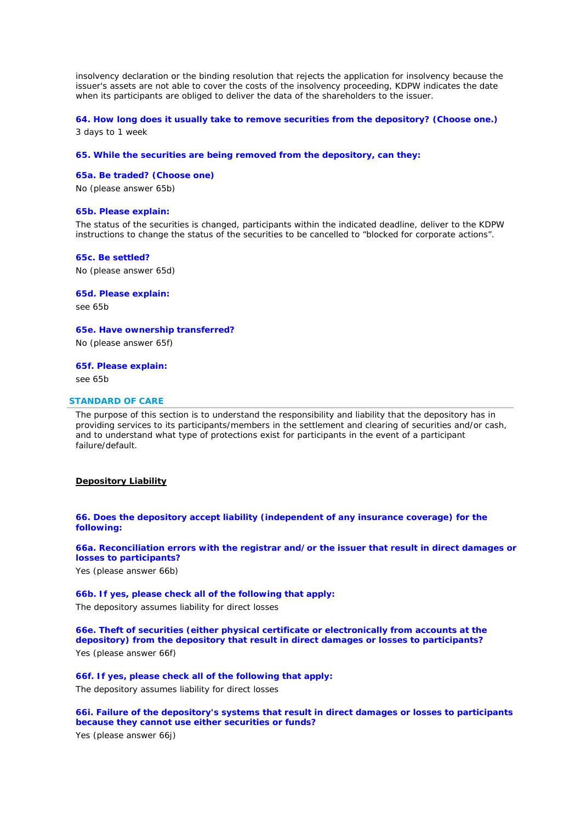insolvency declaration or the binding resolution that rejects the application for insolvency because the issuer's assets are not able to cover the costs of the insolvency proceeding, KDPW indicates the date when its participants are obliged to deliver the data of the shareholders to the issuer.

# **64. How long does it usually take to remove securities from the depository? (Choose one.)**

3 days to 1 week

### **65. While the securities are being removed from the depository, can they:**

# **65a. Be traded? (Choose one)**

No (please answer 65b)

### **65b. Please explain:**

The status of the securities is changed, participants within the indicated deadline, deliver to the KDPW instructions to change the status of the securities to be cancelled to "blocked for corporate actions".

# **65c. Be settled?**

No (please answer 65d)

**65d. Please explain:**

see 65b

**65e. Have ownership transferred?**

No (please answer 65f)

**65f. Please explain:**

see 65b

# **STANDARD OF CARE**

*The purpose of this section is to understand the responsibility and liability that the depository has in providing services to its participants/members in the settlement and clearing of securities and/or cash, and to understand what type of protections exist for participants in the event of a participant failure/default.*

#### **Depository Liability**

**66. Does the depository accept liability (independent of any insurance coverage) for the following:** 

**66a. Reconciliation errors with the registrar and/or the issuer that result in direct damages or losses to participants?**

Yes (please answer 66b)

**66b. If yes, please check all of the following that apply:** The depository assumes liability for direct losses

**66e. Theft of securities (either physical certificate or electronically from accounts at the depository) from the depository that result in direct damages or losses to participants?** Yes (please answer 66f)

**66f. If yes, please check all of the following that apply:** The depository assumes liability for direct losses

**66i. Failure of the depository's systems that result in direct damages or losses to participants because they cannot use either securities or funds?**

Yes (please answer 66j)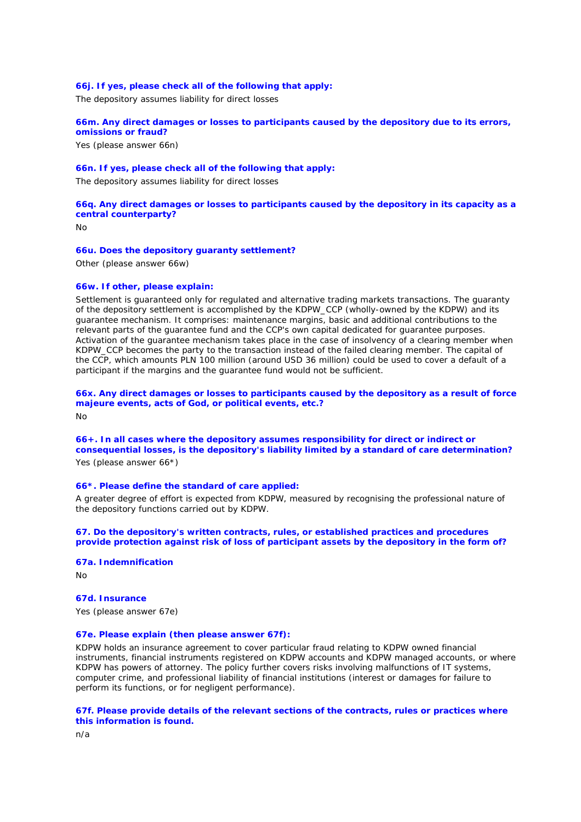### **66j. If yes, please check all of the following that apply:**

The depository assumes liability for direct losses

### **66m. Any direct damages or losses to participants caused by the depository due to its errors, omissions or fraud?**

Yes (please answer 66n)

# **66n. If yes, please check all of the following that apply:**

The depository assumes liability for direct losses

# **66q. Any direct damages or losses to participants caused by the depository in its capacity as a central counterparty?**

No

### **66u. Does the depository guaranty settlement?**

Other (please answer 66w)

#### **66w. If other, please explain:**

Settlement is guaranteed only for regulated and alternative trading markets transactions. The guaranty of the depository settlement is accomplished by the KDPW\_CCP (wholly-owned by the KDPW) and its guarantee mechanism. It comprises: maintenance margins, basic and additional contributions to the relevant parts of the guarantee fund and the CCP's own capital dedicated for guarantee purposes. Activation of the guarantee mechanism takes place in the case of insolvency of a clearing member when KDPW\_CCP becomes the party to the transaction instead of the failed clearing member. The capital of the CCP, which amounts PLN 100 million (around USD 36 million) could be used to cover a default of a participant if the margins and the guarantee fund would not be sufficient.

### **66x. Any direct damages or losses to participants caused by the depository as a result of force majeure events, acts of God, or political events, etc.?** No

**66+. In all cases where the depository assumes responsibility for direct or indirect or consequential losses, is the depository's liability limited by a standard of care determination?**

Yes (please answer 66\*)

### **66\*. Please define the standard of care applied:**

A greater degree of effort is expected from KDPW, measured by recognising the professional nature of the depository functions carried out by KDPW.

### **67. Do the depository's written contracts, rules, or established practices and procedures provide protection against risk of loss of participant assets by the depository in the form of?**

# **67a. Indemnification**

 $N<sub>0</sub>$ 

# **67d. Insurance**

Yes (please answer 67e)

# **67e. Please explain (then please answer 67f):**

KDPW holds an insurance agreement to cover particular fraud relating to KDPW owned financial instruments, financial instruments registered on KDPW accounts and KDPW managed accounts, or where KDPW has powers of attorney. The policy further covers risks involving malfunctions of IT systems, computer crime, and professional liability of financial institutions (interest or damages for failure to perform its functions, or for negligent performance).

# **67f. Please provide details of the relevant sections of the contracts, rules or practices where this information is found.**

n/a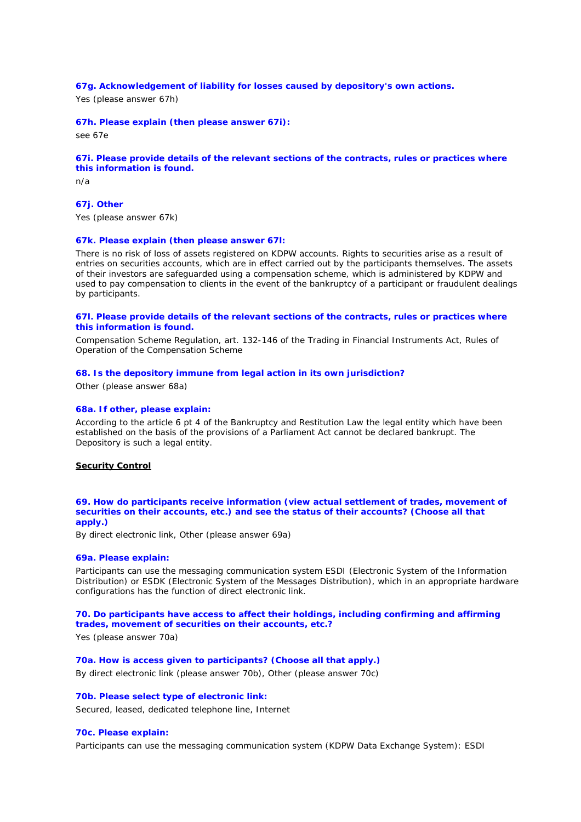# **67g. Acknowledgement of liability for losses caused by depository's own actions.**

Yes (please answer 67h)

### **67h. Please explain (then please answer 67i):**

see 67e

#### **67i. Please provide details of the relevant sections of the contracts, rules or practices where this information is found.**

n/a

# **67j. Other**

Yes (please answer 67k)

### **67k. Please explain (then please answer 67l:**

There is no risk of loss of assets registered on KDPW accounts. Rights to securities arise as a result of entries on securities accounts, which are in effect carried out by the participants themselves. The assets of their investors are safeguarded using a compensation scheme, which is administered by KDPW and used to pay compensation to clients in the event of the bankruptcy of a participant or fraudulent dealings by participants.

# **67l. Please provide details of the relevant sections of the contracts, rules or practices where this information is found.**

Compensation Scheme Regulation, art. 132-146 of the Trading in Financial Instruments Act, Rules of Operation of the Compensation Scheme

### **68. Is the depository immune from legal action in its own jurisdiction?**

Other (please answer 68a)

#### **68a. If other, please explain:**

According to the article 6 pt 4 of the Bankruptcy and Restitution Law the legal entity which have been established on the basis of the provisions of a Parliament Act cannot be declared bankrupt. The Depository is such a legal entity.

# **Security Control**

### **69. How do participants receive information (view actual settlement of trades, movement of securities on their accounts, etc.) and see the status of their accounts? (Choose all that apply.)**

By direct electronic link, Other (please answer 69a)

#### **69a. Please explain:**

Participants can use the messaging communication system ESDI (Electronic System of the Information Distribution) or ESDK (Electronic System of the Messages Distribution), which in an appropriate hardware configurations has the function of direct electronic link.

# **70. Do participants have access to affect their holdings, including confirming and affirming trades, movement of securities on their accounts, etc.?**

Yes (please answer 70a)

**70a. How is access given to participants? (Choose all that apply.)** By direct electronic link (please answer 70b), Other (please answer 70c)

### **70b. Please select type of electronic link:**

Secured, leased, dedicated telephone line, Internet

### **70c. Please explain:**

Participants can use the messaging communication system (KDPW Data Exchange System): ESDI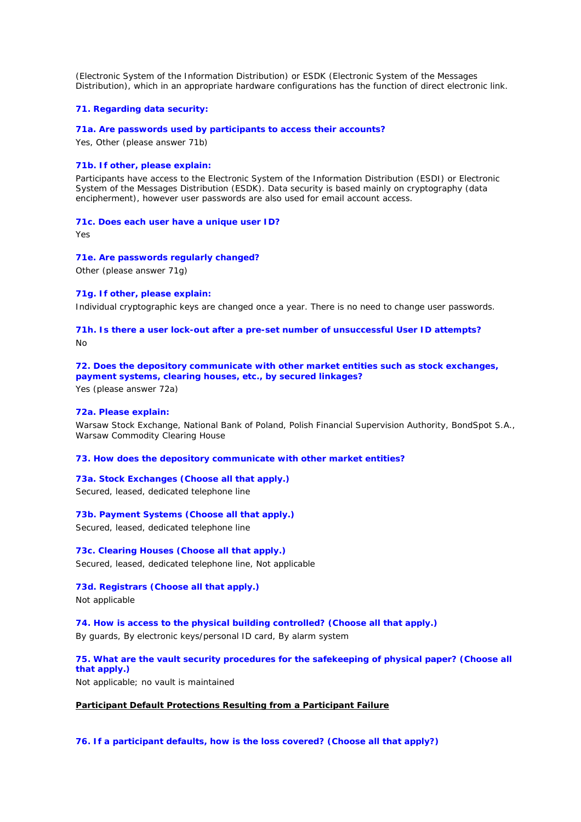(Electronic System of the Information Distribution) or ESDK (Electronic System of the Messages Distribution), which in an appropriate hardware configurations has the function of direct electronic link.

### **71. Regarding data security:**

#### **71a. Are passwords used by participants to access their accounts?**

Yes, Other (please answer 71b)

# **71b. If other, please explain:**

Participants have access to the Electronic System of the Information Distribution (ESDI) or Electronic System of the Messages Distribution (ESDK). Data security is based mainly on cryptography (data encipherment), however user passwords are also used for email account access.

# **71c. Does each user have a unique user ID?**

Yes

#### **71e. Are passwords regularly changed?**

Other (please answer 71g)

### **71g. If other, please explain:**

Individual cryptographic keys are changed once a year. There is no need to change user passwords.

# **71h. Is there a user lock-out after a pre-set number of unsuccessful User ID attempts?** No

# **72. Does the depository communicate with other market entities such as stock exchanges, payment systems, clearing houses, etc., by secured linkages?**

Yes (please answer 72a)

# **72a. Please explain:**

Warsaw Stock Exchange, National Bank of Poland, Polish Financial Supervision Authority, BondSpot S.A., Warsaw Commodity Clearing House

# **73. How does the depository communicate with other market entities?**

# **73a. Stock Exchanges (Choose all that apply.)**

Secured, leased, dedicated telephone line

# **73b. Payment Systems (Choose all that apply.)**

Secured, leased, dedicated telephone line

# **73c. Clearing Houses (Choose all that apply.)** Secured, leased, dedicated telephone line, Not applicable

# **73d. Registrars (Choose all that apply.)** Not applicable

**74. How is access to the physical building controlled? (Choose all that apply.)** By guards, By electronic keys/personal ID card, By alarm system

# **75. What are the vault security procedures for the safekeeping of physical paper? (Choose all that apply.)**

Not applicable; no vault is maintained

# **Participant Default Protections Resulting from a Participant Failure**

**76. If a participant defaults, how is the loss covered? (Choose all that apply?)**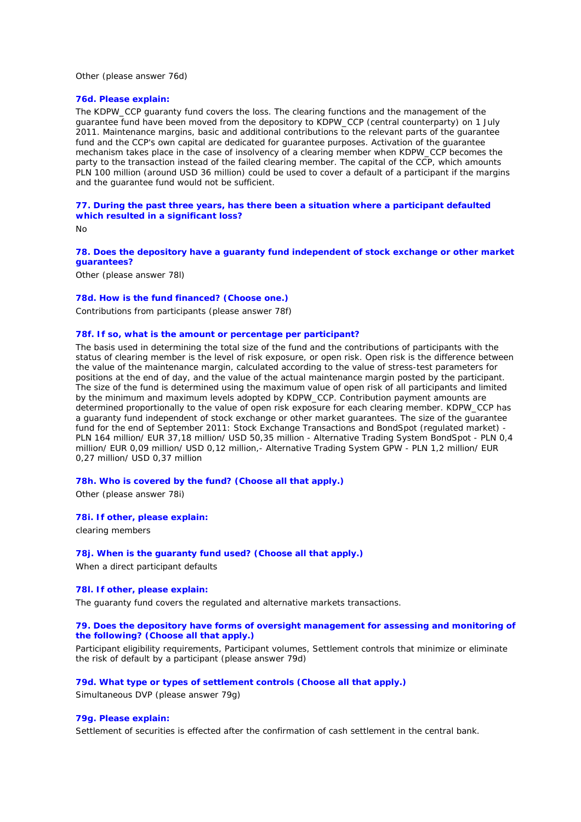Other (please answer 76d)

### **76d. Please explain:**

The KDPW\_CCP guaranty fund covers the loss. The clearing functions and the management of the guarantee fund have been moved from the depository to KDPW\_CCP (central counterparty) on 1 July 2011. Maintenance margins, basic and additional contributions to the relevant parts of the guarantee fund and the CCP's own capital are dedicated for guarantee purposes. Activation of the guarantee mechanism takes place in the case of insolvency of a clearing member when KDPW\_CCP becomes the party to the transaction instead of the failed clearing member. The capital of the CCP, which amounts PLN 100 million (around USD 36 million) could be used to cover a default of a participant if the margins and the guarantee fund would not be sufficient.

### **77. During the past three years, has there been a situation where a participant defaulted which resulted in a significant loss?**

No

# **78. Does the depository have a guaranty fund independent of stock exchange or other market guarantees?**

Other (please answer 78l)

#### **78d. How is the fund financed? (Choose one.)**

Contributions from participants (please answer 78f)

#### **78f. If so, what is the amount or percentage per participant?**

The basis used in determining the total size of the fund and the contributions of participants with the status of clearing member is the level of risk exposure, or open risk. Open risk is the difference between the value of the maintenance margin, calculated according to the value of stress-test parameters for positions at the end of day, and the value of the actual maintenance margin posted by the participant. The size of the fund is determined using the maximum value of open risk of all participants and limited by the minimum and maximum levels adopted by KDPW\_CCP. Contribution payment amounts are determined proportionally to the value of open risk exposure for each clearing member. KDPW\_CCP has a guaranty fund independent of stock exchange or other market guarantees. The size of the guarantee fund for the end of September 2011: Stock Exchange Transactions and BondSpot (regulated market) - PLN 164 million/ EUR 37,18 million/ USD 50,35 million - Alternative Trading System BondSpot - PLN 0,4 million/ EUR 0,09 million/ USD 0,12 million,- Alternative Trading System GPW - PLN 1,2 million/ EUR 0,27 million/ USD 0,37 million

### **78h. Who is covered by the fund? (Choose all that apply.)**

Other (please answer 78i)

### **78i. If other, please explain:**

clearing members

### **78j. When is the guaranty fund used? (Choose all that apply.)**

When a direct participant defaults

### **78l. If other, please explain:**

The guaranty fund covers the regulated and alternative markets transactions.

### **79. Does the depository have forms of oversight management for assessing and monitoring of the following? (Choose all that apply.)**

Participant eligibility requirements, Participant volumes, Settlement controls that minimize or eliminate the risk of default by a participant (please answer 79d)

# **79d. What type or types of settlement controls (Choose all that apply.)**

Simultaneous DVP (please answer 79g)

#### **79g. Please explain:**

Settlement of securities is effected after the confirmation of cash settlement in the central bank.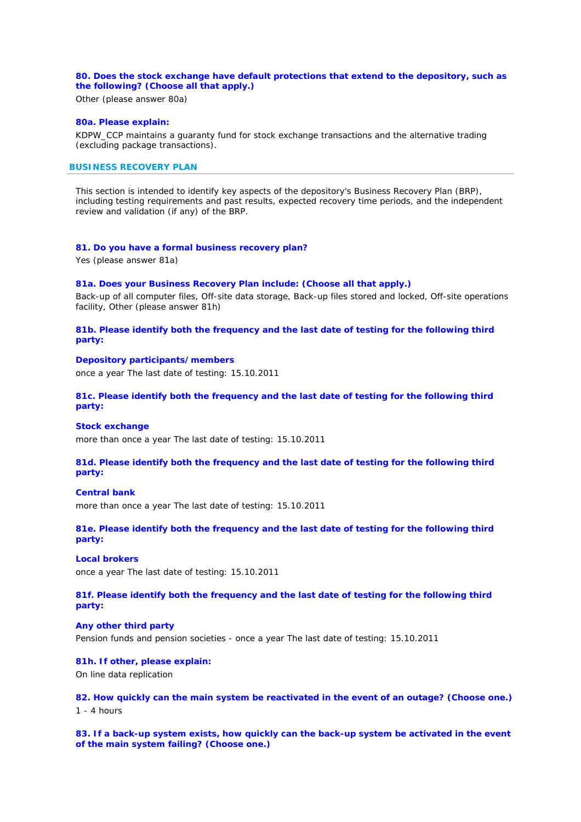# **80. Does the stock exchange have default protections that extend to the depository, such as the following? (Choose all that apply.)**

Other (please answer 80a)

# **80a. Please explain:**

KDPW\_CCP maintains a guaranty fund for stock exchange transactions and the alternative trading (excluding package transactions).

# **BUSINESS RECOVERY PLAN**

*This section is intended to identify key aspects of the depository's Business Recovery Plan (BRP), including testing requirements and past results, expected recovery time periods, and the independent review and validation (if any) of the BRP.*

### **81. Do you have a formal business recovery plan?**

Yes (please answer 81a)

### **81a. Does your Business Recovery Plan include: (Choose all that apply.)**

Back-up of all computer files, Off-site data storage, Back-up files stored and locked, Off-site operations facility, Other (please answer 81h)

# **81b. Please identify both the frequency and the last date of testing for the following third party:**

# **Depository participants/members**

once a year The last date of testing: 15.10.2011

# **81c. Please identify both the frequency and the last date of testing for the following third party:**

#### **Stock exchange**

more than once a year The last date of testing: 15.10.2011

# **81d. Please identify both the frequency and the last date of testing for the following third party:**

#### **Central bank**

more than once a year The last date of testing: 15.10.2011

**81e. Please identify both the frequency and the last date of testing for the following third party:** 

# **Local brokers**

once a year The last date of testing: 15.10.2011

**81f. Please identify both the frequency and the last date of testing for the following third party:** 

### **Any other third party**

Pension funds and pension societies - once a year The last date of testing: 15.10.2011

#### **81h. If other, please explain:**

On line data replication

# **82. How quickly can the main system be reactivated in the event of an outage? (Choose one.)**

1 - 4 hours

## **83. If a back-up system exists, how quickly can the back-up system be activated in the event of the main system failing? (Choose one.)**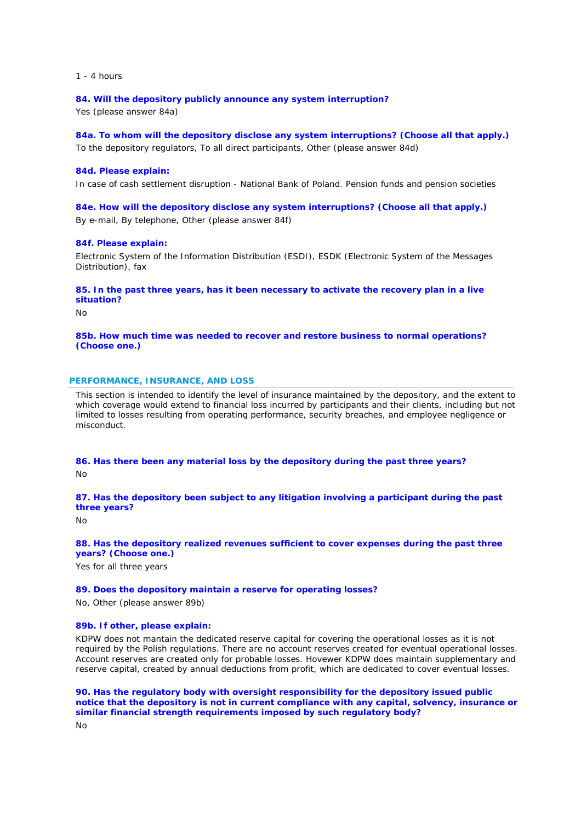$1 - 4$  hours

**84. Will the depository publicly announce any system interruption?**

Yes (please answer 84a)

**84a. To whom will the depository disclose any system interruptions? (Choose all that apply.)** To the depository regulators, To all direct participants, Other (please answer 84d)

### **84d. Please explain:**

In case of cash settlement disruption - National Bank of Poland. Pension funds and pension societies

**84e. How will the depository disclose any system interruptions? (Choose all that apply.)**

By e-mail, By telephone, Other (please answer 84f)

### **84f. Please explain:**

Electronic System of the Information Distribution (ESDI), ESDK (Electronic System of the Messages Distribution), fax

**85. In the past three years, has it been necessary to activate the recovery plan in a live situation?**

 $N<sub>0</sub>$ 

**85b. How much time was needed to recover and restore business to normal operations? (Choose one.)**

### **PERFORMANCE, INSURANCE, AND LOSS**

*This section is intended to identify the level of insurance maintained by the depository, and the extent to*  which coverage would extend to financial loss incurred by participants and their clients, including but not *limited to losses resulting from operating performance, security breaches, and employee negligence or misconduct.*

**86. Has there been any material loss by the depository during the past three years?** No

**87. Has the depository been subject to any litigation involving a participant during the past three years?**

No

**88. Has the depository realized revenues sufficient to cover expenses during the past three years? (Choose one.)**

Yes for all three years

### **89. Does the depository maintain a reserve for operating losses?**

No, Other (please answer 89b)

# **89b. If other, please explain:**

KDPW does not mantain the dedicated reserve capital for covering the operational losses as it is not required by the Polish regulations. There are no account reserves created for eventual operational losses. Account reserves are created only for probable losses. Hovewer KDPW does maintain supplementary and reserve capital, created by annual deductions from profit, which are dedicated to cover eventual losses.

**90. Has the regulatory body with oversight responsibility for the depository issued public notice that the depository is not in current compliance with any capital, solvency, insurance or similar financial strength requirements imposed by such regulatory body?**

 $N<sub>0</sub>$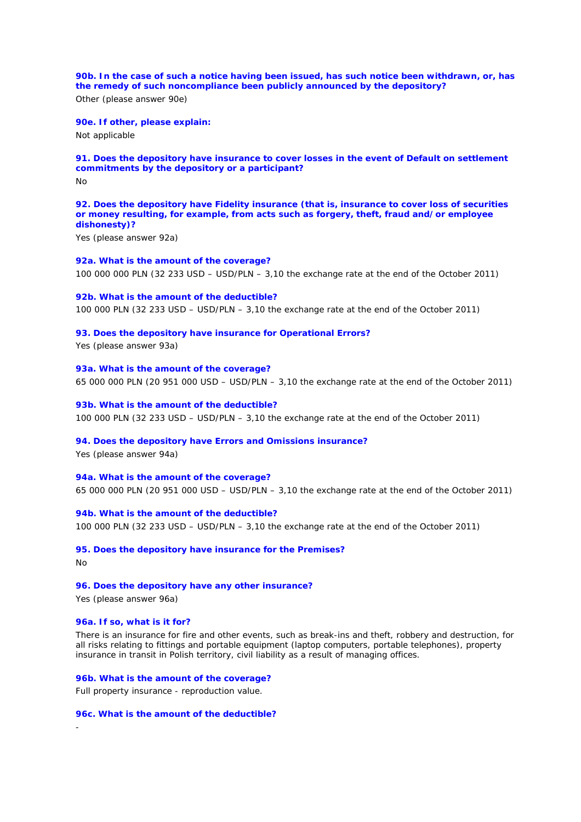**90b. In the case of such a notice having been issued, has such notice been withdrawn, or, has the remedy of such noncompliance been publicly announced by the depository?** Other (please answer 90e)

**90e. If other, please explain:**

Not applicable

### **91. Does the depository have insurance to cover losses in the event of Default on settlement commitments by the depository or a participant?**

No

**92. Does the depository have Fidelity insurance (that is, insurance to cover loss of securities or money resulting, for example, from acts such as forgery, theft, fraud and/or employee dishonesty)?**

Yes (please answer 92a)

# **92a. What is the amount of the coverage?**

100 000 000 PLN (32 233 USD – USD/PLN – 3,10 the exchange rate at the end of the October 2011)

**92b. What is the amount of the deductible?**

100 000 PLN (32 233 USD – USD/PLN – 3,10 the exchange rate at the end of the October 2011)

#### **93. Does the depository have insurance for Operational Errors?**

Yes (please answer 93a)

**93a. What is the amount of the coverage?** 65 000 000 PLN (20 951 000 USD – USD/PLN – 3,10 the exchange rate at the end of the October 2011)

**93b. What is the amount of the deductible?** 100 000 PLN (32 233 USD – USD/PLN – 3,10 the exchange rate at the end of the October 2011)

#### **94. Does the depository have Errors and Omissions insurance?**

Yes (please answer 94a)

**94a. What is the amount of the coverage?**

65 000 000 PLN (20 951 000 USD – USD/PLN – 3,10 the exchange rate at the end of the October 2011)

**94b. What is the amount of the deductible?** 100 000 PLN (32 233 USD – USD/PLN – 3,10 the exchange rate at the end of the October 2011)

**95. Does the depository have insurance for the Premises?**

No

-

### **96. Does the depository have any other insurance?**

Yes (please answer 96a)

#### **96a. If so, what is it for?**

There is an insurance for fire and other events, such as break-ins and theft, robbery and destruction, for all risks relating to fittings and portable equipment (laptop computers, portable telephones), property insurance in transit in Polish territory, civil liability as a result of managing offices.

**96b. What is the amount of the coverage?** Full property insurance - reproduction value.

**96c. What is the amount of the deductible?**